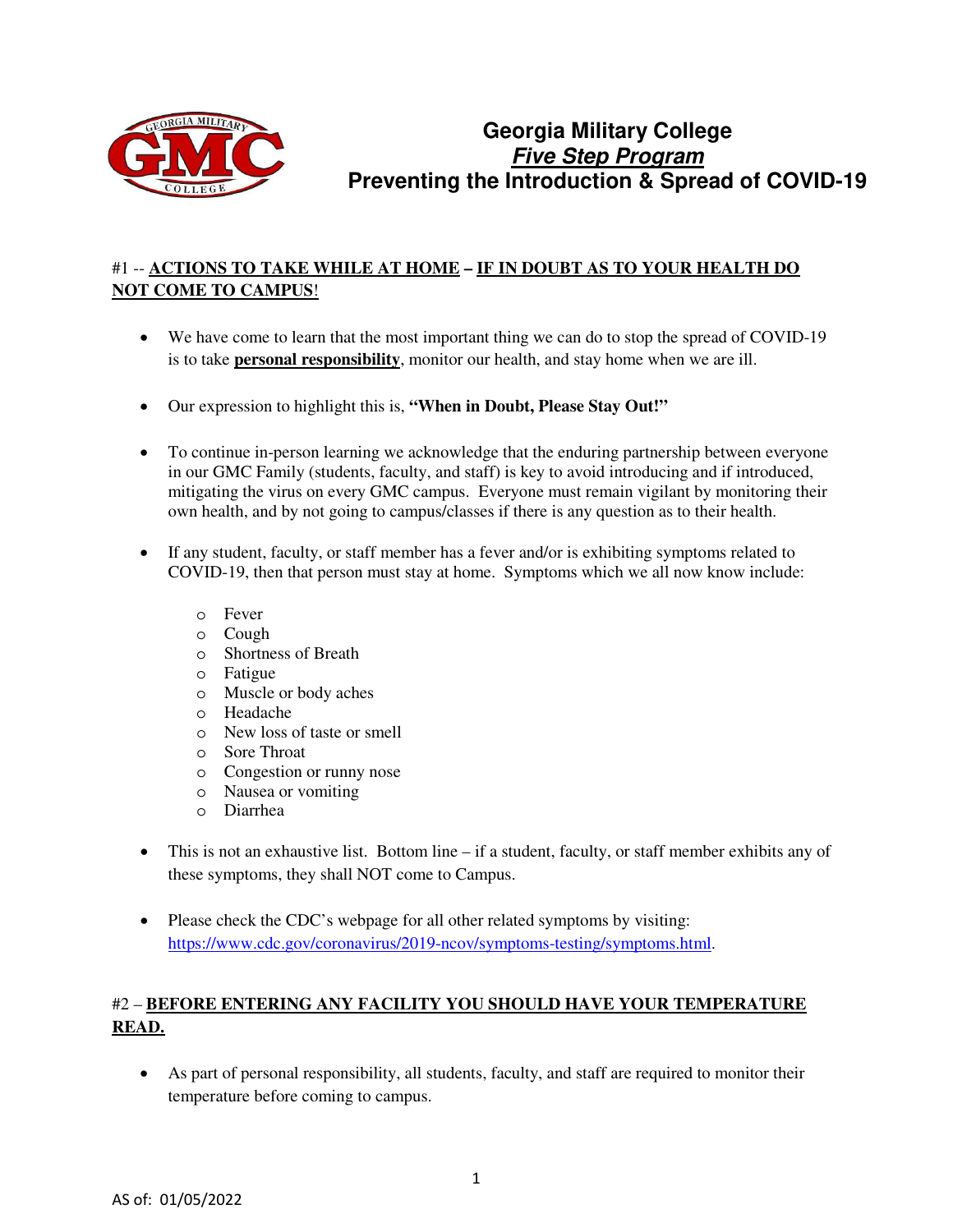

# **Georgia Military College Five Step Program Preventing the Introduction & Spread of COVID-19**

## #1 -- **ACTIONS TO TAKE WHILE AT HOME – IF IN DOUBT AS TO YOUR HEALTH DO NOT COME TO CAMPUS**!

- We have come to learn that the most important thing we can do to stop the spread of COVID-19 is to take **personal responsibility**, monitor our health, and stay home when we are ill.
- Our expression to highlight this is, **"When in Doubt, Please Stay Out!"**
- To continue in-person learning we acknowledge that the enduring partnership between everyone in our GMC Family (students, faculty, and staff) is key to avoid introducing and if introduced, mitigating the virus on every GMC campus. Everyone must remain vigilant by monitoring their own health, and by not going to campus/classes if there is any question as to their health.
- If any student, faculty, or staff member has a fever and/or is exhibiting symptoms related to COVID-19, then that person must stay at home. Symptoms which we all now know include:
	- o Fever
	- o Cough
	- o Shortness of Breath
	- o Fatigue
	- o Muscle or body aches
	- o Headache
	- o New loss of taste or smell
	- o Sore Throat
	- o Congestion or runny nose
	- o Nausea or vomiting
	- o Diarrhea
- This is not an exhaustive list. Bottom line if a student, faculty, or staff member exhibits any of these symptoms, they shall NOT come to Campus.
- Please check the CDC's webpage for all other related symptoms by visiting: [https://www.cdc.gov/coronavirus/2019-ncov/symptoms-testing/symptoms.html.](https://www.cdc.gov/coronavirus/2019-ncov/symptoms-testing/symptoms.html)

# #2 – **BEFORE ENTERING ANY FACILITY YOU SHOULD HAVE YOUR TEMPERATURE READ.**

• As part of personal responsibility, all students, faculty, and staff are required to monitor their temperature before coming to campus.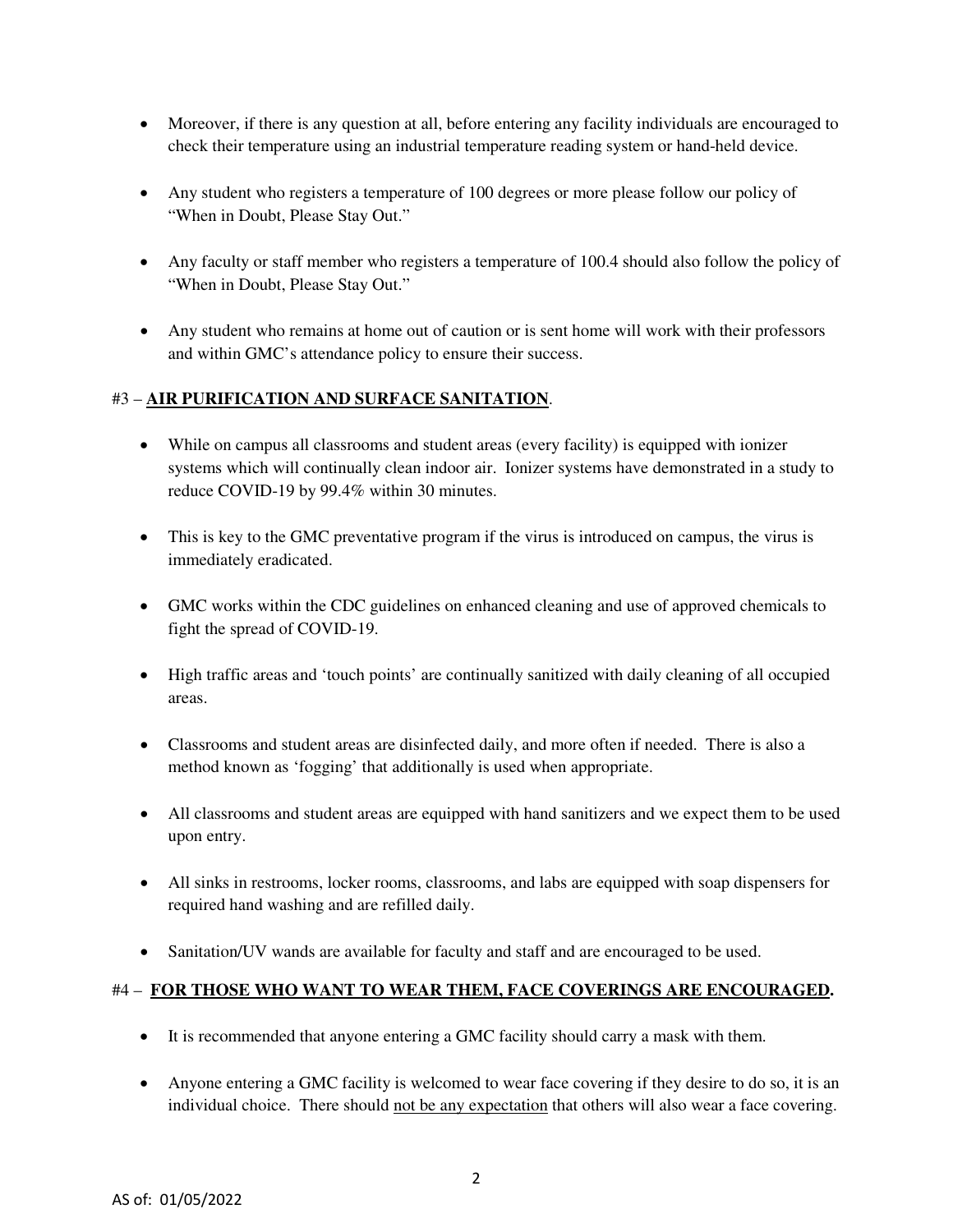- Moreover, if there is any question at all, before entering any facility individuals are encouraged to check their temperature using an industrial temperature reading system or hand-held device.
- Any student who registers a temperature of 100 degrees or more please follow our policy of "When in Doubt, Please Stay Out."
- Any faculty or staff member who registers a temperature of 100.4 should also follow the policy of "When in Doubt, Please Stay Out."
- Any student who remains at home out of caution or is sent home will work with their professors and within GMC's attendance policy to ensure their success.

#### #3 – **AIR PURIFICATION AND SURFACE SANITATION**.

- While on campus all classrooms and student areas (every facility) is equipped with ionizer systems which will continually clean indoor air. Ionizer systems have demonstrated in a study to reduce COVID-19 by 99.4% within 30 minutes.
- This is key to the GMC preventative program if the virus is introduced on campus, the virus is immediately eradicated.
- GMC works within the CDC guidelines on enhanced cleaning and use of approved chemicals to fight the spread of COVID-19.
- High traffic areas and 'touch points' are continually sanitized with daily cleaning of all occupied areas.
- Classrooms and student areas are disinfected daily, and more often if needed. There is also a method known as 'fogging' that additionally is used when appropriate.
- All classrooms and student areas are equipped with hand sanitizers and we expect them to be used upon entry.
- All sinks in restrooms, locker rooms, classrooms, and labs are equipped with soap dispensers for required hand washing and are refilled daily.
- Sanitation/UV wands are available for faculty and staff and are encouraged to be used.

#### #4 – **FOR THOSE WHO WANT TO WEAR THEM, FACE COVERINGS ARE ENCOURAGED.**

- It is recommended that anyone entering a GMC facility should carry a mask with them.
- Anyone entering a GMC facility is welcomed to wear face covering if they desire to do so, it is an individual choice. There should not be any expectation that others will also wear a face covering.